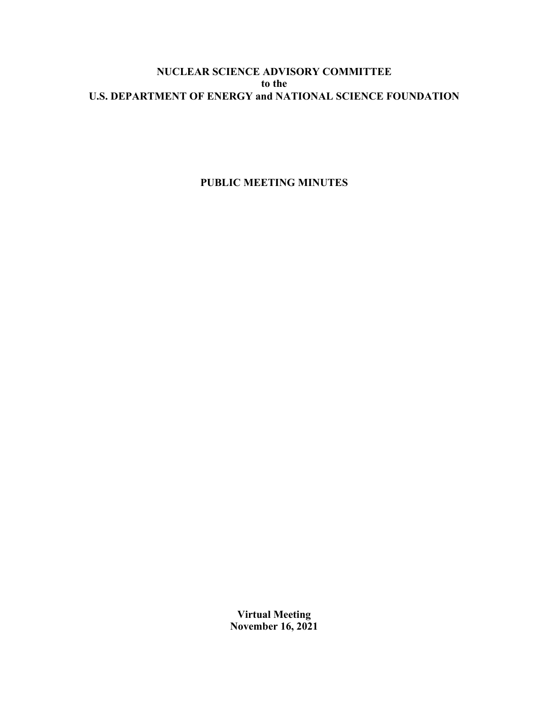# **NUCLEAR SCIENCE ADVISORY COMMITTEE to the U.S. DEPARTMENT OF ENERGY and NATIONAL SCIENCE FOUNDATION**

**PUBLIC MEETING MINUTES**

**Virtual Meeting November 16, 2021**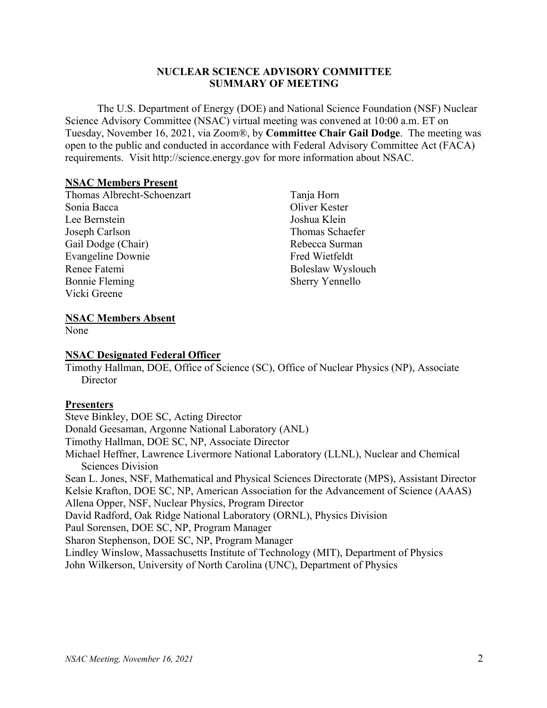## **NUCLEAR SCIENCE ADVISORY COMMITTEE SUMMARY OF MEETING**

The U.S. Department of Energy (DOE) and National Science Foundation (NSF) Nuclear Science Advisory Committee (NSAC) virtual meeting was convened at 10:00 a.m. ET on Tuesday, November 16, 2021, via Zoom®, by **Committee Chair Gail Dodge**. The meeting was open to the public and conducted in accordance with Federal Advisory Committee Act (FACA) requirements. Visit http://science.energy.gov for more information about NSAC.

## **NSAC Members Present**

Thomas Albrecht-Schoenzart Sonia Bacca Lee Bernstein Joseph Carlson Gail Dodge (Chair) Evangeline Downie Renee Fatemi Bonnie Fleming Vicki Greene

Tanja Horn Oliver Kester Joshua Klein Thomas Schaefer Rebecca Surman Fred Wietfeldt Boleslaw Wyslouch Sherry Yennello

## **NSAC Members Absent**

None

## **NSAC Designated Federal Officer**

Timothy Hallman, DOE, Office of Science (SC), Office of Nuclear Physics (NP), Associate **Director** 

## **Presenters**

Steve Binkley, DOE SC, Acting Director Donald Geesaman, Argonne National Laboratory (ANL) Timothy Hallman, DOE SC, NP, Associate Director Michael Heffner, Lawrence Livermore National Laboratory (LLNL), Nuclear and Chemical Sciences Division Sean L. Jones, NSF, Mathematical and Physical Sciences Directorate (MPS), Assistant Director Kelsie Krafton, DOE SC, NP, American Association for the Advancement of Science (AAAS) Allena Opper, NSF, Nuclear Physics, Program Director David Radford, Oak Ridge National Laboratory (ORNL), Physics Division Paul Sorensen, DOE SC, NP, Program Manager Sharon Stephenson, DOE SC, NP, Program Manager Lindley Winslow, Massachusetts Institute of Technology (MIT), Department of Physics John Wilkerson, University of North Carolina (UNC), Department of Physics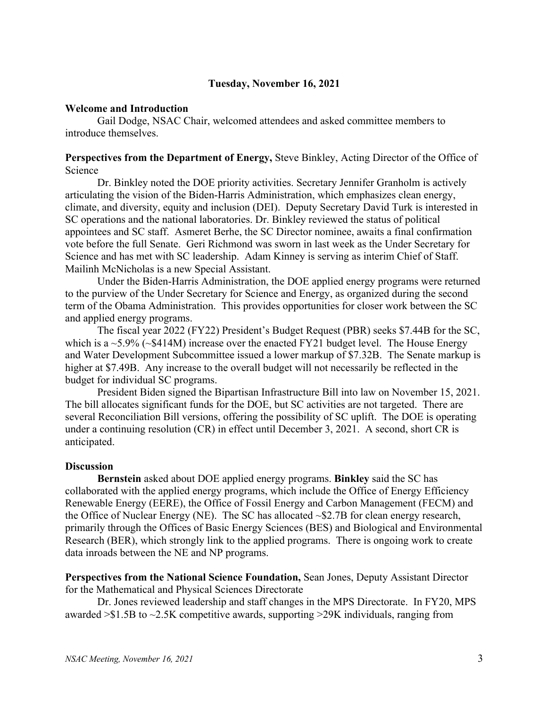## **Tuesday, November 16, 2021**

### **Welcome and Introduction**

Gail Dodge, NSAC Chair, welcomed attendees and asked committee members to introduce themselves.

### **Perspectives from the Department of Energy,** Steve Binkley, Acting Director of the Office of Science

Dr. Binkley noted the DOE priority activities. Secretary Jennifer Granholm is actively articulating the vision of the Biden-Harris Administration, which emphasizes clean energy, climate, and diversity, equity and inclusion (DEI). Deputy Secretary David Turk is interested in SC operations and the national laboratories. Dr. Binkley reviewed the status of political appointees and SC staff. Asmeret Berhe, the SC Director nominee, awaits a final confirmation vote before the full Senate. Geri Richmond was sworn in last week as the Under Secretary for Science and has met with SC leadership. Adam Kinney is serving as interim Chief of Staff. Mailinh McNicholas is a new Special Assistant.

Under the Biden-Harris Administration, the DOE applied energy programs were returned to the purview of the Under Secretary for Science and Energy, as organized during the second term of the Obama Administration. This provides opportunities for closer work between the SC and applied energy programs.

The fiscal year 2022 (FY22) President's Budget Request (PBR) seeks \$7.44B for the SC, which is a  $\sim$  5.9% ( $\sim$ \$414M) increase over the enacted FY21 budget level. The House Energy and Water Development Subcommittee issued a lower markup of \$7.32B. The Senate markup is higher at \$7.49B. Any increase to the overall budget will not necessarily be reflected in the budget for individual SC programs.

President Biden signed the Bipartisan Infrastructure Bill into law on November 15, 2021. The bill allocates significant funds for the DOE, but SC activities are not targeted. There are several Reconciliation Bill versions, offering the possibility of SC uplift. The DOE is operating under a continuing resolution (CR) in effect until December 3, 2021. A second, short CR is anticipated.

### **Discussion**

**Bernstein** asked about DOE applied energy programs. **Binkley** said the SC has collaborated with the applied energy programs, which include the Office of Energy Efficiency Renewable Energy (EERE), the Office of Fossil Energy and Carbon Management (FECM) and the Office of Nuclear Energy (NE). The SC has allocated  $\sim$ \$2.7B for clean energy research, primarily through the Offices of Basic Energy Sciences (BES) and Biological and Environmental Research (BER), which strongly link to the applied programs. There is ongoing work to create data inroads between the NE and NP programs.

**Perspectives from the National Science Foundation,** Sean Jones, Deputy Assistant Director for the Mathematical and Physical Sciences Directorate

Dr. Jones reviewed leadership and staff changes in the MPS Directorate. In FY20, MPS awarded >\$1.5B to ~2.5K competitive awards, supporting >29K individuals, ranging from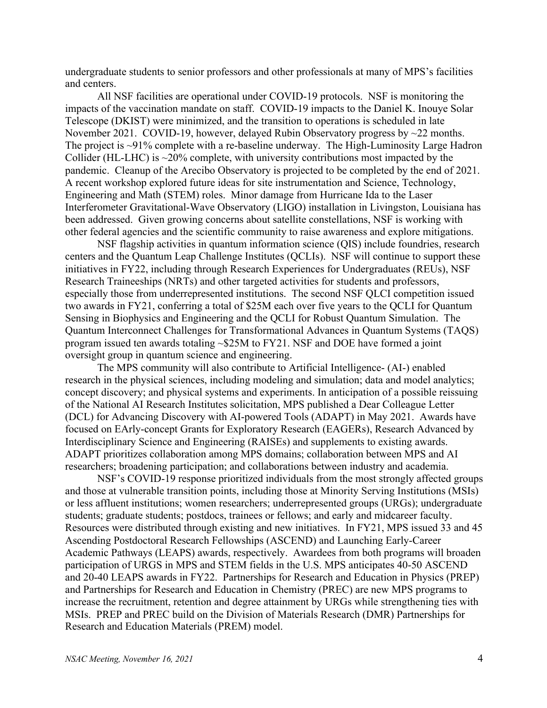undergraduate students to senior professors and other professionals at many of MPS's facilities and centers.

All NSF facilities are operational under COVID-19 protocols. NSF is monitoring the impacts of the vaccination mandate on staff. COVID-19 impacts to the Daniel K. Inouye Solar Telescope (DKIST) were minimized, and the transition to operations is scheduled in late November 2021. COVID-19, however, delayed Rubin Observatory progress by ~22 months. The project is ~91% complete with a re-baseline underway. The High-Luminosity Large Hadron Collider (HL-LHC) is  $\sim$ 20% complete, with university contributions most impacted by the pandemic. Cleanup of the Arecibo Observatory is projected to be completed by the end of 2021. A recent workshop explored future ideas for site instrumentation and Science, Technology, Engineering and Math (STEM) roles. Minor damage from Hurricane Ida to the Laser Interferometer Gravitational-Wave Observatory (LIGO) installation in Livingston, Louisiana has been addressed. Given growing concerns about satellite constellations, NSF is working with other federal agencies and the scientific community to raise awareness and explore mitigations.

NSF flagship activities in quantum information science (QIS) include foundries, research centers and the Quantum Leap Challenge Institutes (QCLIs). NSF will continue to support these initiatives in FY22, including through Research Experiences for Undergraduates (REUs), NSF Research Traineeships (NRTs) and other targeted activities for students and professors, especially those from underrepresented institutions. The second NSF QLCI competition issued two awards in FY21, conferring a total of \$25M each over five years to the QCLI for Quantum Sensing in Biophysics and Engineering and the QCLI for Robust Quantum Simulation. The Quantum Interconnect Challenges for Transformational Advances in Quantum Systems (TAQS) program issued ten awards totaling ~\$25M to FY21. NSF and DOE have formed a joint oversight group in quantum science and engineering.

The MPS community will also contribute to Artificial Intelligence- (AI-) enabled research in the physical sciences, including modeling and simulation; data and model analytics; concept discovery; and physical systems and experiments. In anticipation of a possible reissuing of the National AI Research Institutes solicitation, MPS published a Dear Colleague Letter (DCL) for Advancing Discovery with AI-powered Tools (ADAPT) in May 2021. Awards have focused on EArly-concept Grants for Exploratory Research (EAGERs), Research Advanced by Interdisciplinary Science and Engineering (RAISEs) and supplements to existing awards. ADAPT prioritizes collaboration among MPS domains; collaboration between MPS and AI researchers; broadening participation; and collaborations between industry and academia.

NSF's COVID-19 response prioritized individuals from the most strongly affected groups and those at vulnerable transition points, including those at Minority Serving Institutions (MSIs) or less affluent institutions; women researchers; underrepresented groups (URGs); undergraduate students; graduate students; postdocs, trainees or fellows; and early and midcareer faculty. Resources were distributed through existing and new initiatives. In FY21, MPS issued 33 and 45 Ascending Postdoctoral Research Fellowships (ASCEND) and Launching Early-Career Academic Pathways (LEAPS) awards, respectively. Awardees from both programs will broaden participation of URGS in MPS and STEM fields in the U.S. MPS anticipates 40-50 ASCEND and 20-40 LEAPS awards in FY22. Partnerships for Research and Education in Physics (PREP) and Partnerships for Research and Education in Chemistry (PREC) are new MPS programs to increase the recruitment, retention and degree attainment by URGs while strengthening ties with MSIs. PREP and PREC build on the Division of Materials Research (DMR) Partnerships for Research and Education Materials (PREM) model.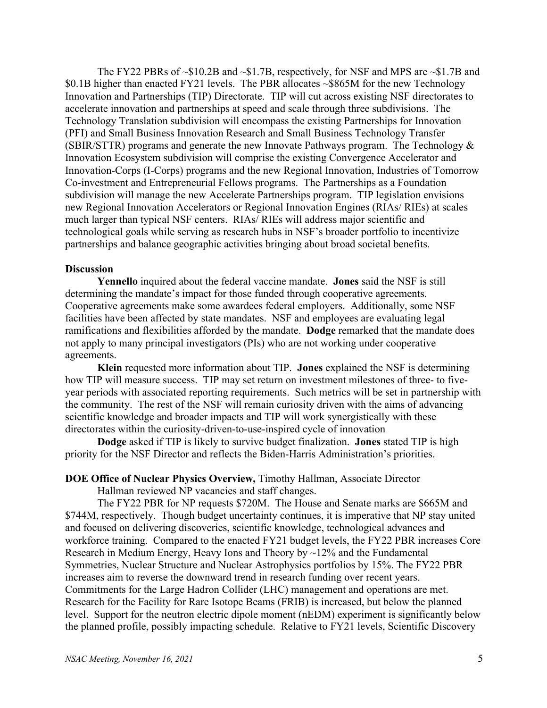The FY22 PBRs of  $\sim$ \$10.2B and  $\sim$ \$1.7B, respectively, for NSF and MPS are  $\sim$ \$1.7B and \$0.1B higher than enacted FY21 levels. The PBR allocates ~\$865M for the new Technology Innovation and Partnerships (TIP) Directorate. TIP will cut across existing NSF directorates to accelerate innovation and partnerships at speed and scale through three subdivisions. The Technology Translation subdivision will encompass the existing Partnerships for Innovation (PFI) and Small Business Innovation Research and Small Business Technology Transfer (SBIR/STTR) programs and generate the new Innovate Pathways program. The Technology & Innovation Ecosystem subdivision will comprise the existing Convergence Accelerator and Innovation-Corps (I-Corps) programs and the new Regional Innovation, Industries of Tomorrow Co-investment and Entrepreneurial Fellows programs. The Partnerships as a Foundation subdivision will manage the new Accelerate Partnerships program. TIP legislation envisions new Regional Innovation Accelerators or Regional Innovation Engines (RIAs/ RIEs) at scales much larger than typical NSF centers. RIAs/ RIEs will address major scientific and technological goals while serving as research hubs in NSF's broader portfolio to incentivize partnerships and balance geographic activities bringing about broad societal benefits.

#### **Discussion**

**Yennello** inquired about the federal vaccine mandate. **Jones** said the NSF is still determining the mandate's impact for those funded through cooperative agreements. Cooperative agreements make some awardees federal employers. Additionally, some NSF facilities have been affected by state mandates. NSF and employees are evaluating legal ramifications and flexibilities afforded by the mandate. **Dodge** remarked that the mandate does not apply to many principal investigators (PIs) who are not working under cooperative agreements.

**Klein** requested more information about TIP. **Jones** explained the NSF is determining how TIP will measure success. TIP may set return on investment milestones of three- to fiveyear periods with associated reporting requirements. Such metrics will be set in partnership with the community. The rest of the NSF will remain curiosity driven with the aims of advancing scientific knowledge and broader impacts and TIP will work synergistically with these directorates within the curiosity-driven-to-use-inspired cycle of innovation

**Dodge** asked if TIP is likely to survive budget finalization. **Jones** stated TIP is high priority for the NSF Director and reflects the Biden-Harris Administration's priorities.

### **DOE Office of Nuclear Physics Overview,** Timothy Hallman, Associate Director

Hallman reviewed NP vacancies and staff changes.

The FY22 PBR for NP requests \$720M. The House and Senate marks are \$665M and \$744M, respectively. Though budget uncertainty continues, it is imperative that NP stay united and focused on delivering discoveries, scientific knowledge, technological advances and workforce training. Compared to the enacted FY21 budget levels, the FY22 PBR increases Core Research in Medium Energy, Heavy Ions and Theory by ~12% and the Fundamental Symmetries, Nuclear Structure and Nuclear Astrophysics portfolios by 15%. The FY22 PBR increases aim to reverse the downward trend in research funding over recent years. Commitments for the Large Hadron Collider (LHC) management and operations are met. Research for the Facility for Rare Isotope Beams (FRIB) is increased, but below the planned level. Support for the neutron electric dipole moment (nEDM) experiment is significantly below the planned profile, possibly impacting schedule. Relative to FY21 levels, Scientific Discovery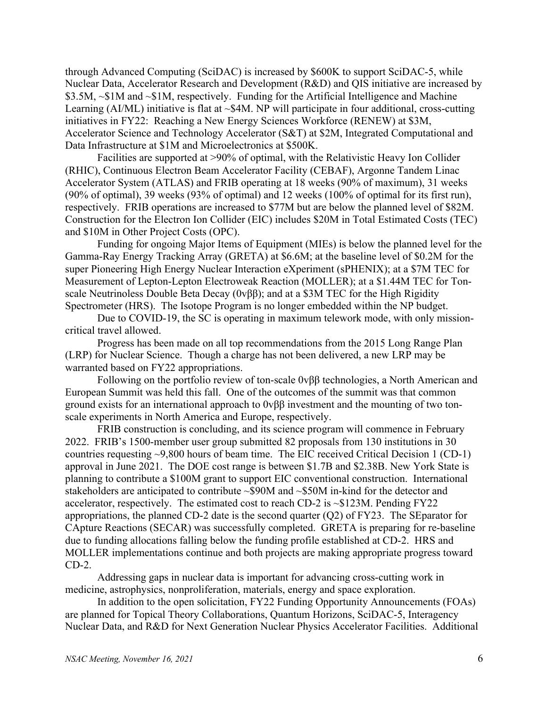through Advanced Computing (SciDAC) is increased by \$600K to support SciDAC-5, while Nuclear Data, Accelerator Research and Development (R&D) and QIS initiative are increased by \$3.5M, ~\$1M and ~\$1M, respectively. Funding for the Artificial Intelligence and Machine Learning (AI/ML) initiative is flat at ~\$4M. NP will participate in four additional, cross-cutting initiatives in FY22: Reaching a New Energy Sciences Workforce (RENEW) at \$3M, Accelerator Science and Technology Accelerator (S&T) at \$2M, Integrated Computational and Data Infrastructure at \$1M and Microelectronics at \$500K.

Facilities are supported at >90% of optimal, with the Relativistic Heavy Ion Collider (RHIC), Continuous Electron Beam Accelerator Facility (CEBAF), Argonne Tandem Linac Accelerator System (ATLAS) and FRIB operating at 18 weeks (90% of maximum), 31 weeks (90% of optimal), 39 weeks (93% of optimal) and 12 weeks (100% of optimal for its first run), respectively. FRIB operations are increased to \$77M but are below the planned level of \$82M. Construction for the Electron Ion Collider (EIC) includes \$20M in Total Estimated Costs (TEC) and \$10M in Other Project Costs (OPC).

Funding for ongoing Major Items of Equipment (MIEs) is below the planned level for the Gamma-Ray Energy Tracking Array (GRETA) at \$6.6M; at the baseline level of \$0.2M for the super Pioneering High Energy Nuclear Interaction eXperiment (sPHENIX); at a \$7M TEC for Measurement of Lepton-Lepton Electroweak Reaction (MOLLER); at a \$1.44M TEC for Tonscale Neutrinoless Double Beta Decay (0vββ); and at a \$3M TEC for the High Rigidity Spectrometer (HRS). The Isotope Program is no longer embedded within the NP budget.

Due to COVID-19, the SC is operating in maximum telework mode, with only missioncritical travel allowed.

Progress has been made on all top recommendations from the 2015 Long Range Plan (LRP) for Nuclear Science. Though a charge has not been delivered, a new LRP may be warranted based on FY22 appropriations.

Following on the portfolio review of ton-scale 0vββ technologies, a North American and European Summit was held this fall. One of the outcomes of the summit was that common ground exists for an international approach to 0vββ investment and the mounting of two tonscale experiments in North America and Europe, respectively.

FRIB construction is concluding, and its science program will commence in February 2022. FRIB's 1500-member user group submitted 82 proposals from 130 institutions in 30 countries requesting ~9,800 hours of beam time. The EIC received Critical Decision 1 (CD-1) approval in June 2021. The DOE cost range is between \$1.7B and \$2.38B. New York State is planning to contribute a \$100M grant to support EIC conventional construction. International stakeholders are anticipated to contribute ~\$90M and ~\$50M in-kind for the detector and accelerator, respectively. The estimated cost to reach CD-2 is ~\$123M. Pending FY22 appropriations, the planned CD-2 date is the second quarter (Q2) of FY23. The SEparator for CApture Reactions (SECAR) was successfully completed. GRETA is preparing for re-baseline due to funding allocations falling below the funding profile established at CD-2. HRS and MOLLER implementations continue and both projects are making appropriate progress toward CD-2.

Addressing gaps in nuclear data is important for advancing cross-cutting work in medicine, astrophysics, nonproliferation, materials, energy and space exploration.

In addition to the open solicitation, FY22 Funding Opportunity Announcements (FOAs) are planned for Topical Theory Collaborations, Quantum Horizons, SciDAC-5, Interagency Nuclear Data, and R&D for Next Generation Nuclear Physics Accelerator Facilities. Additional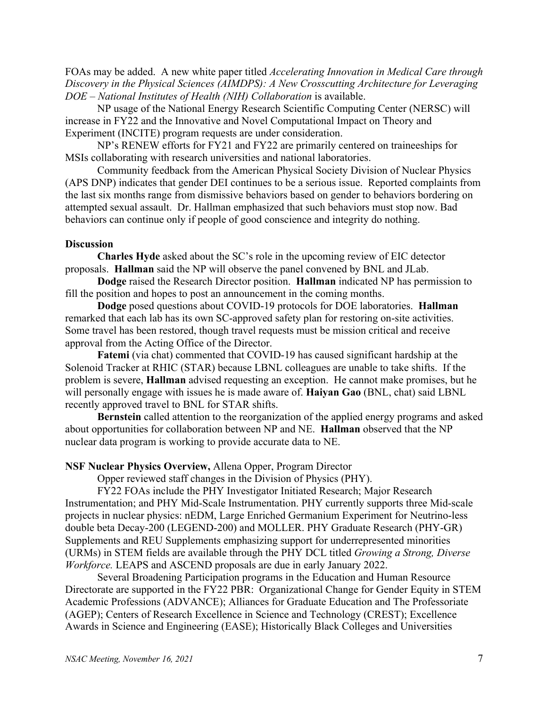FOAs may be added. A new white paper titled *Accelerating Innovation in Medical Care through Discovery in the Physical Sciences (AIMDPS): A New Crosscutting Architecture for Leveraging DOE – National Institutes of Health (NIH) Collaboration* is available.

NP usage of the National Energy Research Scientific Computing Center (NERSC) will increase in FY22 and the Innovative and Novel Computational Impact on Theory and Experiment (INCITE) program requests are under consideration.

NP's RENEW efforts for FY21 and FY22 are primarily centered on traineeships for MSIs collaborating with research universities and national laboratories.

Community feedback from the American Physical Society Division of Nuclear Physics (APS DNP) indicates that gender DEI continues to be a serious issue. Reported complaints from the last six months range from dismissive behaviors based on gender to behaviors bordering on attempted sexual assault. Dr. Hallman emphasized that such behaviors must stop now. Bad behaviors can continue only if people of good conscience and integrity do nothing.

### **Discussion**

**Charles Hyde** asked about the SC's role in the upcoming review of EIC detector proposals. **Hallman** said the NP will observe the panel convened by BNL and JLab.

**Dodge** raised the Research Director position. **Hallman** indicated NP has permission to fill the position and hopes to post an announcement in the coming months.

**Dodge** posed questions about COVID-19 protocols for DOE laboratories. **Hallman** remarked that each lab has its own SC-approved safety plan for restoring on-site activities. Some travel has been restored, though travel requests must be mission critical and receive approval from the Acting Office of the Director.

**Fatemi** (via chat) commented that COVID-19 has caused significant hardship at the Solenoid Tracker at RHIC (STAR) because LBNL colleagues are unable to take shifts. If the problem is severe, **Hallman** advised requesting an exception. He cannot make promises, but he will personally engage with issues he is made aware of. **Haiyan Gao** (BNL, chat) said LBNL recently approved travel to BNL for STAR shifts.

**Bernstein** called attention to the reorganization of the applied energy programs and asked about opportunities for collaboration between NP and NE. **Hallman** observed that the NP nuclear data program is working to provide accurate data to NE.

### **NSF Nuclear Physics Overview,** Allena Opper, Program Director

Opper reviewed staff changes in the Division of Physics (PHY).

FY22 FOAs include the PHY Investigator Initiated Research; Major Research Instrumentation; and PHY Mid-Scale Instrumentation. PHY currently supports three Mid-scale projects in nuclear physics: nEDM, Large Enriched Germanium Experiment for Neutrino-less double beta Decay-200 (LEGEND-200) and MOLLER. PHY Graduate Research (PHY-GR) Supplements and REU Supplements emphasizing support for underrepresented minorities (URMs) in STEM fields are available through the PHY DCL titled *Growing a Strong, Diverse Workforce.* LEAPS and ASCEND proposals are due in early January 2022.

Several Broadening Participation programs in the Education and Human Resource Directorate are supported in the FY22 PBR: Organizational Change for Gender Equity in STEM Academic Professions (ADVANCE); Alliances for Graduate Education and The Professoriate (AGEP); Centers of Research Excellence in Science and Technology (CREST); Excellence Awards in Science and Engineering (EASE); Historically Black Colleges and Universities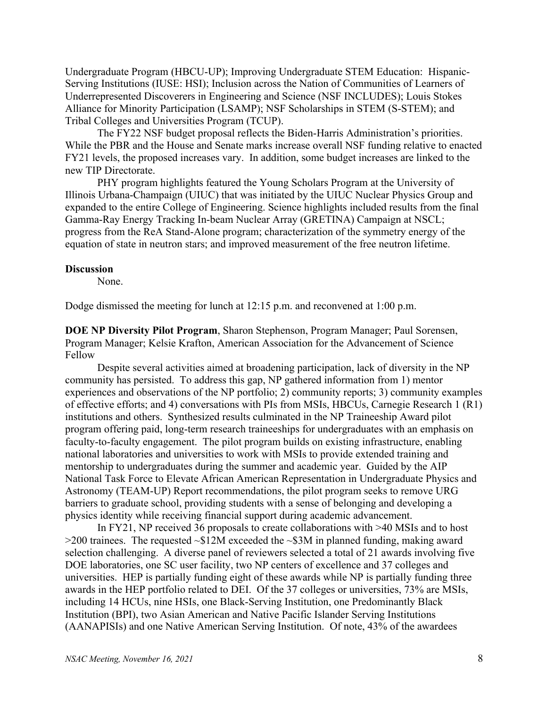Undergraduate Program (HBCU-UP); Improving Undergraduate STEM Education: Hispanic-Serving Institutions (IUSE: HSI); Inclusion across the Nation of Communities of Learners of Underrepresented Discoverers in Engineering and Science (NSF INCLUDES); Louis Stokes Alliance for Minority Participation (LSAMP); NSF Scholarships in STEM (S-STEM); and Tribal Colleges and Universities Program (TCUP).

The FY22 NSF budget proposal reflects the Biden-Harris Administration's priorities. While the PBR and the House and Senate marks increase overall NSF funding relative to enacted FY21 levels, the proposed increases vary. In addition, some budget increases are linked to the new TIP Directorate.

PHY program highlights featured the Young Scholars Program at the University of Illinois Urbana-Champaign (UIUC) that was initiated by the UIUC Nuclear Physics Group and expanded to the entire College of Engineering. Science highlights included results from the final Gamma-Ray Energy Tracking In-beam Nuclear Array (GRETINA) Campaign at NSCL; progress from the ReA Stand-Alone program; characterization of the symmetry energy of the equation of state in neutron stars; and improved measurement of the free neutron lifetime.

#### **Discussion**

None.

Dodge dismissed the meeting for lunch at 12:15 p.m. and reconvened at 1:00 p.m.

**DOE NP Diversity Pilot Program**, Sharon Stephenson, Program Manager; Paul Sorensen, Program Manager; Kelsie Krafton, American Association for the Advancement of Science Fellow

Despite several activities aimed at broadening participation, lack of diversity in the NP community has persisted. To address this gap, NP gathered information from 1) mentor experiences and observations of the NP portfolio; 2) community reports; 3) community examples of effective efforts; and 4) conversations with PIs from MSIs, HBCUs, Carnegie Research 1 (R1) institutions and others. Synthesized results culminated in the NP Traineeship Award pilot program offering paid, long-term research traineeships for undergraduates with an emphasis on faculty-to-faculty engagement. The pilot program builds on existing infrastructure, enabling national laboratories and universities to work with MSIs to provide extended training and mentorship to undergraduates during the summer and academic year. Guided by the AIP National Task Force to Elevate African American Representation in Undergraduate Physics and Astronomy (TEAM-UP) Report recommendations, the pilot program seeks to remove URG barriers to graduate school, providing students with a sense of belonging and developing a physics identity while receiving financial support during academic advancement.

In FY21, NP received 36 proposals to create collaborations with >40 MSIs and to host  $>$ 200 trainees. The requested  $\sim$ \$12M exceeded the  $\sim$ \$3M in planned funding, making award selection challenging. A diverse panel of reviewers selected a total of 21 awards involving five DOE laboratories, one SC user facility, two NP centers of excellence and 37 colleges and universities. HEP is partially funding eight of these awards while NP is partially funding three awards in the HEP portfolio related to DEI. Of the 37 colleges or universities, 73% are MSIs, including 14 HCUs, nine HSIs, one Black-Serving Institution, one Predominantly Black Institution (BPI), two Asian American and Native Pacific Islander Serving Institutions (AANAPISIs) and one Native American Serving Institution. Of note, 43% of the awardees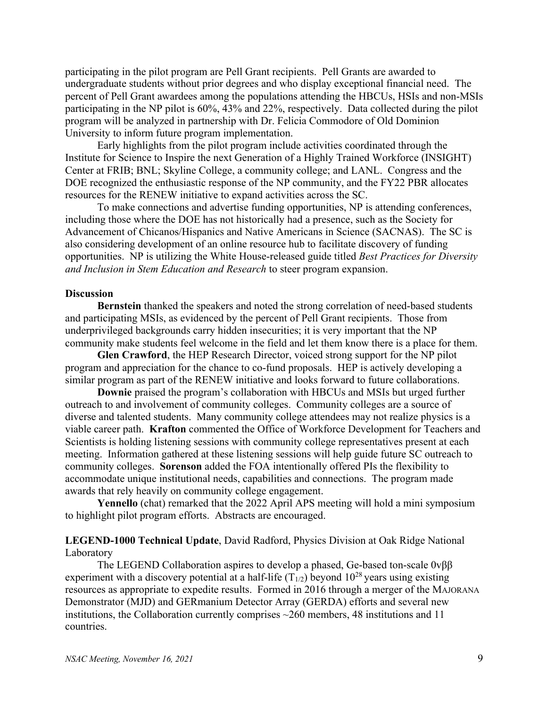participating in the pilot program are Pell Grant recipients. Pell Grants are awarded to undergraduate students without prior degrees and who display exceptional financial need. The percent of Pell Grant awardees among the populations attending the HBCUs, HSIs and non-MSIs participating in the NP pilot is 60%, 43% and 22%, respectively. Data collected during the pilot program will be analyzed in partnership with Dr. Felicia Commodore of Old Dominion University to inform future program implementation.

Early highlights from the pilot program include activities coordinated through the Institute for Science to Inspire the next Generation of a Highly Trained Workforce (INSIGHT) Center at FRIB; BNL; Skyline College, a community college; and LANL. Congress and the DOE recognized the enthusiastic response of the NP community, and the FY22 PBR allocates resources for the RENEW initiative to expand activities across the SC.

To make connections and advertise funding opportunities, NP is attending conferences, including those where the DOE has not historically had a presence, such as the Society for Advancement of Chicanos/Hispanics and Native Americans in Science (SACNAS). The SC is also considering development of an online resource hub to facilitate discovery of funding opportunities. NP is utilizing the White House-released guide titled *Best Practices for Diversity and Inclusion in Stem Education and Research* to steer program expansion.

### **Discussion**

**Bernstein** thanked the speakers and noted the strong correlation of need-based students and participating MSIs, as evidenced by the percent of Pell Grant recipients. Those from underprivileged backgrounds carry hidden insecurities; it is very important that the NP community make students feel welcome in the field and let them know there is a place for them.

**Glen Crawford**, the HEP Research Director, voiced strong support for the NP pilot program and appreciation for the chance to co-fund proposals. HEP is actively developing a similar program as part of the RENEW initiative and looks forward to future collaborations.

**Downie** praised the program's collaboration with HBCUs and MSIs but urged further outreach to and involvement of community colleges. Community colleges are a source of diverse and talented students. Many community college attendees may not realize physics is a viable career path. **Krafton** commented the Office of Workforce Development for Teachers and Scientists is holding listening sessions with community college representatives present at each meeting. Information gathered at these listening sessions will help guide future SC outreach to community colleges. **Sorenson** added the FOA intentionally offered PIs the flexibility to accommodate unique institutional needs, capabilities and connections. The program made awards that rely heavily on community college engagement.

**Yennello** (chat) remarked that the 2022 April APS meeting will hold a mini symposium to highlight pilot program efforts. Abstracts are encouraged.

## **LEGEND-1000 Technical Update**, David Radford, Physics Division at Oak Ridge National Laboratory

The LEGEND Collaboration aspires to develop a phased, Ge-based ton-scale 0vββ experiment with a discovery potential at a half-life  $(T_{1/2})$  beyond  $10^{28}$  years using existing resources as appropriate to expedite results. Formed in 2016 through a merger of the MAJORANA Demonstrator (MJD) and GERmanium Detector Array (GERDA) efforts and several new institutions, the Collaboration currently comprises  $\sim$ 260 members, 48 institutions and 11 countries.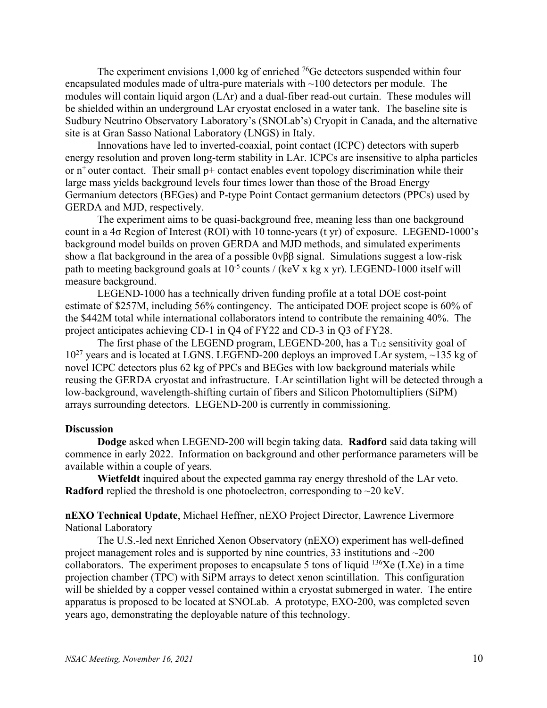The experiment envisions 1,000 kg of enriched  $^{76}$ Ge detectors suspended within four encapsulated modules made of ultra-pure materials with  $\sim$ 100 detectors per module. The modules will contain liquid argon (LAr) and a dual-fiber read-out curtain. These modules will be shielded within an underground LAr cryostat enclosed in a water tank. The baseline site is Sudbury Neutrino Observatory Laboratory's (SNOLab's) Cryopit in Canada, and the alternative site is at Gran Sasso National Laboratory (LNGS) in Italy.

Innovations have led to inverted-coaxial, point contact (ICPC) detectors with superb energy resolution and proven long-term stability in LAr. ICPCs are insensitive to alpha particles or  $n^+$  outer contact. Their small  $p^+$  contact enables event topology discrimination while their large mass yields background levels four times lower than those of the Broad Energy Germanium detectors (BEGes) and P-type Point Contact germanium detectors (PPCs) used by GERDA and MJD, respectively.

The experiment aims to be quasi-background free, meaning less than one background count in a 4σ Region of Interest (ROI) with 10 tonne-years (t yr) of exposure. LEGEND-1000's background model builds on proven GERDA and MJD methods, and simulated experiments show a flat background in the area of a possible 0vββ signal. Simulations suggest a low-risk path to meeting background goals at  $10^{-5}$  counts / (keV x kg x yr). LEGEND-1000 itself will measure background.

LEGEND-1000 has a technically driven funding profile at a total DOE cost-point estimate of \$257M, including 56% contingency. The anticipated DOE project scope is 60% of the \$442M total while international collaborators intend to contribute the remaining 40%. The project anticipates achieving CD-1 in Q4 of FY22 and CD-3 in Q3 of FY28.

The first phase of the LEGEND program, LEGEND-200, has a  $T_{1/2}$  sensitivity goal of  $10^{27}$  years and is located at LGNS. LEGEND-200 deploys an improved LAr system,  $\sim$ 135 kg of novel ICPC detectors plus 62 kg of PPCs and BEGes with low background materials while reusing the GERDA cryostat and infrastructure. LAr scintillation light will be detected through a low-background, wavelength-shifting curtain of fibers and Silicon Photomultipliers (SiPM) arrays surrounding detectors. LEGEND-200 is currently in commissioning.

### **Discussion**

**Dodge** asked when LEGEND-200 will begin taking data. **Radford** said data taking will commence in early 2022. Information on background and other performance parameters will be available within a couple of years.

**Wietfeldt** inquired about the expected gamma ray energy threshold of the LAr veto. **Radford** replied the threshold is one photoelectron, corresponding to  $\sim$ 20 keV.

**nEXO Technical Update**, Michael Heffner, nEXO Project Director, Lawrence Livermore National Laboratory

The U.S.-led next Enriched Xenon Observatory (nEXO) experiment has well-defined project management roles and is supported by nine countries, 33 institutions and ~200 collaborators. The experiment proposes to encapsulate 5 tons of liquid  $^{136}$ Xe (LXe) in a time projection chamber (TPC) with SiPM arrays to detect xenon scintillation. This configuration will be shielded by a copper vessel contained within a cryostat submerged in water. The entire apparatus is proposed to be located at SNOLab. A prototype, EXO-200, was completed seven years ago, demonstrating the deployable nature of this technology.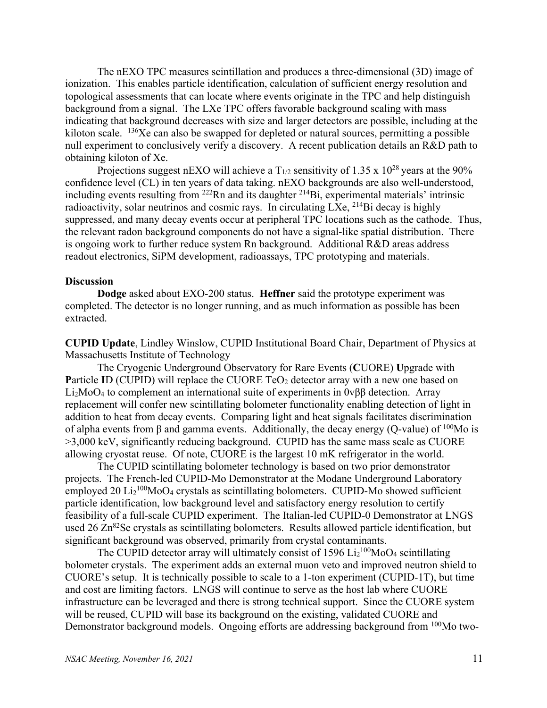The nEXO TPC measures scintillation and produces a three-dimensional (3D) image of ionization. This enables particle identification, calculation of sufficient energy resolution and topological assessments that can locate where events originate in the TPC and help distinguish background from a signal. The LXe TPC offers favorable background scaling with mass indicating that background decreases with size and larger detectors are possible, including at the kiloton scale.  $^{136}$ Xe can also be swapped for depleted or natural sources, permitting a possible null experiment to conclusively verify a discovery. A recent publication details an R&D path to obtaining kiloton of Xe.

Projections suggest nEXO will achieve a  $T_{1/2}$  sensitivity of 1.35 x 10<sup>28</sup> years at the 90% confidence level (CL) in ten years of data taking. nEXO backgrounds are also well-understood, including events resulting from  $^{222}$ Rn and its daughter  $^{214}$ Bi, experimental materials' intrinsic radioactivity, solar neutrinos and cosmic rays. In circulating LXe, 214Bi decay is highly suppressed, and many decay events occur at peripheral TPC locations such as the cathode. Thus, the relevant radon background components do not have a signal-like spatial distribution. There is ongoing work to further reduce system Rn background. Additional R&D areas address readout electronics, SiPM development, radioassays, TPC prototyping and materials.

#### **Discussion**

**Dodge** asked about EXO-200 status. **Heffner** said the prototype experiment was completed. The detector is no longer running, and as much information as possible has been extracted.

**CUPID Update**, Lindley Winslow, CUPID Institutional Board Chair, Department of Physics at Massachusetts Institute of Technology

The Cryogenic Underground Observatory for Rare Events (**C**UORE) **U**pgrade with **Particle ID (CUPID) will replace the CUORE TeO<sub>2</sub> detector array with a new one based on** Li2MoO4 to complement an international suite of experiments in 0vββ detection. Array replacement will confer new scintillating bolometer functionality enabling detection of light in addition to heat from decay events. Comparing light and heat signals facilitates discrimination of alpha events from β and gamma events. Additionally, the decay energy (O-value) of  $100$ Mo is >3,000 keV, significantly reducing background. CUPID has the same mass scale as CUORE allowing cryostat reuse. Of note, CUORE is the largest 10 mK refrigerator in the world.

The CUPID scintillating bolometer technology is based on two prior demonstrator projects. The French-led CUPID-Mo Demonstrator at the Modane Underground Laboratory employed 20  $Li_2^{100}MoO_4$  crystals as scintillating bolometers. CUPID-Mo showed sufficient particle identification, low background level and satisfactory energy resolution to certify feasibility of a full-scale CUPID experiment. The Italian-led CUPID-0 Demonstrator at LNGS used  $26 Zn^{82}$ Se crystals as scintillating bolometers. Results allowed particle identification, but significant background was observed, primarily from crystal contaminants.

The CUPID detector array will ultimately consist of  $1596 \text{Li}_2{}^{100}\text{MoO}_4$  scintillating bolometer crystals. The experiment adds an external muon veto and improved neutron shield to CUORE's setup. It is technically possible to scale to a 1-ton experiment (CUPID-1T), but time and cost are limiting factors. LNGS will continue to serve as the host lab where CUORE infrastructure can be leveraged and there is strong technical support. Since the CUORE system will be reused, CUPID will base its background on the existing, validated CUORE and Demonstrator background models. Ongoing efforts are addressing background from <sup>100</sup>Mo two-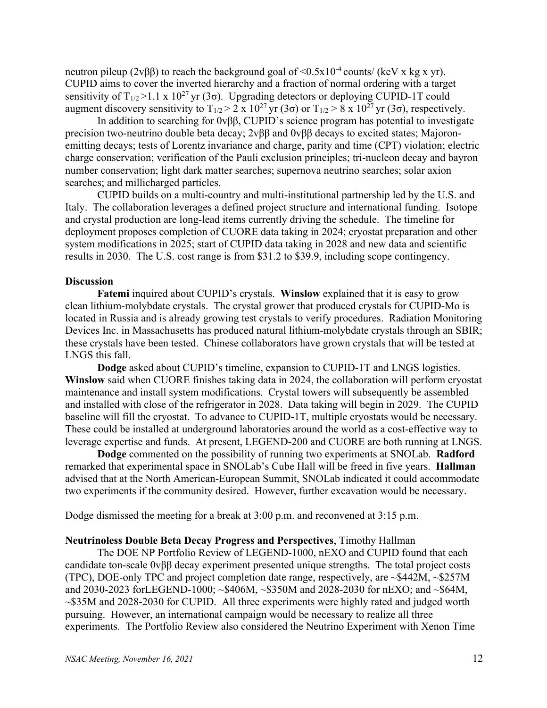neutron pileup (2vββ) to reach the background goal of  $\leq 0.5x10^{-4}$  counts/ (keV x kg x yr). CUPID aims to cover the inverted hierarchy and a fraction of normal ordering with a target sensitivity of  $T_{1/2}$  >1.1 x 10<sup>27</sup> yr (3 $\sigma$ ). Upgrading detectors or deploying CUPID-1T could augment discovery sensitivity to  $T_{1/2} > 2 \times 10^{27}$  yr (3 $\sigma$ ) or  $T_{1/2} > 8 \times 10^{27}$  yr (3 $\sigma$ ), respectively.

In addition to searching for 0vββ, CUPID's science program has potential to investigate precision two-neutrino double beta decay; 2vββ and 0vββ decays to excited states; Majoronemitting decays; tests of Lorentz invariance and charge, parity and time (CPT) violation; electric charge conservation; verification of the Pauli exclusion principles; tri-nucleon decay and bayron number conservation; light dark matter searches; supernova neutrino searches; solar axion searches; and millicharged particles.

CUPID builds on a multi-country and multi-institutional partnership led by the U.S. and Italy. The collaboration leverages a defined project structure and international funding. Isotope and crystal production are long-lead items currently driving the schedule. The timeline for deployment proposes completion of CUORE data taking in 2024; cryostat preparation and other system modifications in 2025; start of CUPID data taking in 2028 and new data and scientific results in 2030. The U.S. cost range is from \$31.2 to \$39.9, including scope contingency.

### **Discussion**

**Fatemi** inquired about CUPID's crystals. **Winslow** explained that it is easy to grow clean lithium-molybdate crystals. The crystal grower that produced crystals for CUPID-Mo is located in Russia and is already growing test crystals to verify procedures. Radiation Monitoring Devices Inc. in Massachusetts has produced natural lithium-molybdate crystals through an SBIR; these crystals have been tested. Chinese collaborators have grown crystals that will be tested at LNGS this fall.

**Dodge** asked about CUPID's timeline, expansion to CUPID-1T and LNGS logistics. **Winslow** said when CUORE finishes taking data in 2024, the collaboration will perform cryostat maintenance and install system modifications. Crystal towers will subsequently be assembled and installed with close of the refrigerator in 2028. Data taking will begin in 2029. The CUPID baseline will fill the cryostat. To advance to CUPID-1T, multiple cryostats would be necessary. These could be installed at underground laboratories around the world as a cost-effective way to leverage expertise and funds. At present, LEGEND-200 and CUORE are both running at LNGS.

**Dodge** commented on the possibility of running two experiments at SNOLab. **Radford** remarked that experimental space in SNOLab's Cube Hall will be freed in five years. **Hallman** advised that at the North American-European Summit, SNOLab indicated it could accommodate two experiments if the community desired. However, further excavation would be necessary.

Dodge dismissed the meeting for a break at 3:00 p.m. and reconvened at 3:15 p.m.

## **Neutrinoless Double Beta Decay Progress and Perspectives**, Timothy Hallman

The DOE NP Portfolio Review of LEGEND-1000, nEXO and CUPID found that each candidate ton-scale 0vββ decay experiment presented unique strengths. The total project costs (TPC), DOE-only TPC and project completion date range, respectively, are ~\$442M, ~\$257M and 2030-2023 forLEGEND-1000; ~\$406M, ~\$350M and 2028-2030 for nEXO; and ~\$64M, ~\$35M and 2028-2030 for CUPID. All three experiments were highly rated and judged worth pursuing. However, an international campaign would be necessary to realize all three experiments. The Portfolio Review also considered the Neutrino Experiment with Xenon Time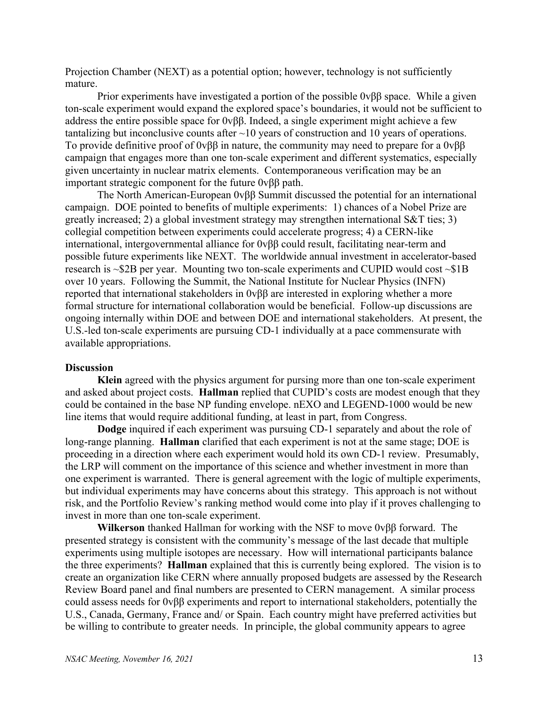Projection Chamber (NEXT) as a potential option; however, technology is not sufficiently mature.

Prior experiments have investigated a portion of the possible  $0\nu\beta\beta$  space. While a given ton-scale experiment would expand the explored space's boundaries, it would not be sufficient to address the entire possible space for 0vββ. Indeed, a single experiment might achieve a few tantalizing but inconclusive counts after  $\sim$ 10 years of construction and 10 years of operations. To provide definitive proof of 0vββ in nature, the community may need to prepare for a 0vββ campaign that engages more than one ton-scale experiment and different systematics, especially given uncertainty in nuclear matrix elements. Contemporaneous verification may be an important strategic component for the future 0vββ path.

The North American-European 0vββ Summit discussed the potential for an international campaign. DOE pointed to benefits of multiple experiments: 1) chances of a Nobel Prize are greatly increased; 2) a global investment strategy may strengthen international S&T ties; 3) collegial competition between experiments could accelerate progress; 4) a CERN-like international, intergovernmental alliance for 0vββ could result, facilitating near-term and possible future experiments like NEXT. The worldwide annual investment in accelerator-based research is  $\sim$ \$2B per year. Mounting two ton-scale experiments and CUPID would cost  $\sim$ \$1B over 10 years. Following the Summit, the National Institute for Nuclear Physics (INFN) reported that international stakeholders in 0vββ are interested in exploring whether a more formal structure for international collaboration would be beneficial. Follow-up discussions are ongoing internally within DOE and between DOE and international stakeholders. At present, the U.S.-led ton-scale experiments are pursuing CD-1 individually at a pace commensurate with available appropriations.

### **Discussion**

**Klein** agreed with the physics argument for pursing more than one ton-scale experiment and asked about project costs. **Hallman** replied that CUPID's costs are modest enough that they could be contained in the base NP funding envelope. nEXO and LEGEND-1000 would be new line items that would require additional funding, at least in part, from Congress.

**Dodge** inquired if each experiment was pursuing CD-1 separately and about the role of long-range planning. **Hallman** clarified that each experiment is not at the same stage; DOE is proceeding in a direction where each experiment would hold its own CD-1 review. Presumably, the LRP will comment on the importance of this science and whether investment in more than one experiment is warranted. There is general agreement with the logic of multiple experiments, but individual experiments may have concerns about this strategy. This approach is not without risk, and the Portfolio Review's ranking method would come into play if it proves challenging to invest in more than one ton-scale experiment.

**Wilkerson** thanked Hallman for working with the NSF to move 0vββ forward. The presented strategy is consistent with the community's message of the last decade that multiple experiments using multiple isotopes are necessary. How will international participants balance the three experiments? **Hallman** explained that this is currently being explored. The vision is to create an organization like CERN where annually proposed budgets are assessed by the Research Review Board panel and final numbers are presented to CERN management. A similar process could assess needs for 0vββ experiments and report to international stakeholders, potentially the U.S., Canada, Germany, France and/ or Spain. Each country might have preferred activities but be willing to contribute to greater needs. In principle, the global community appears to agree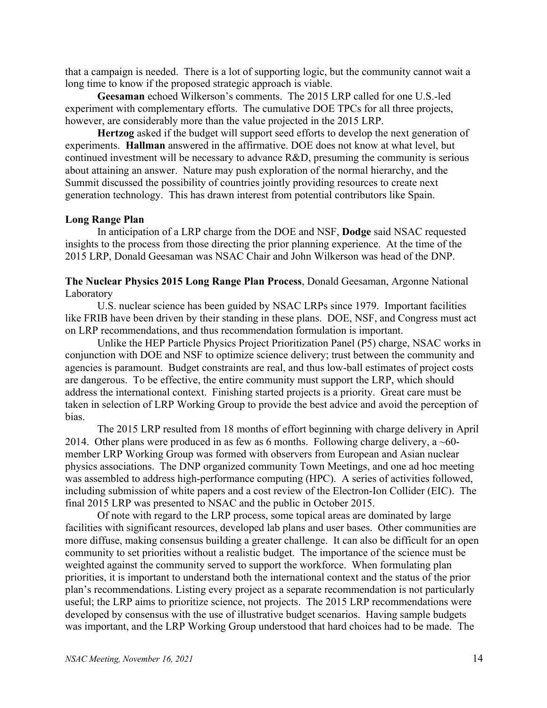that a campaign is needed. There is a lot of supporting logic, but the community cannot wait a long time to know if the proposed strategic approach is viable.

**Geesaman** echoed Wilkerson's comments. The 2015 LRP called for one U.S.-led experiment with complementary efforts. The cumulative DOE TPCs for all three projects, however, are considerably more than the value projected in the 2015 LRP.

**Hertzog** asked if the budget will support seed efforts to develop the next generation of experiments. **Hallman** answered in the affirmative. DOE does not know at what level, but continued investment will be necessary to advance R&D, presuming the community is serious about attaining an answer. Nature may push exploration of the normal hierarchy, and the Summit discussed the possibility of countries jointly providing resources to create next generation technology. This has drawn interest from potential contributors like Spain.

#### **Long Range Plan**

In anticipation of a LRP charge from the DOE and NSF, **Dodge** said NSAC requested insights to the process from those directing the prior planning experience. At the time of the 2015 LRP, Donald Geesaman was NSAC Chair and John Wilkerson was head of the DNP.

**The Nuclear Physics 2015 Long Range Plan Process**, Donald Geesaman, Argonne National Laboratory

U.S. nuclear science has been guided by NSAC LRPs since 1979. Important facilities like FRIB have been driven by their standing in these plans. DOE, NSF, and Congress must act on LRP recommendations, and thus recommendation formulation is important.

Unlike the HEP Particle Physics Project Prioritization Panel (P5) charge, NSAC works in conjunction with DOE and NSF to optimize science delivery; trust between the community and agencies is paramount. Budget constraints are real, and thus low-ball estimates of project costs are dangerous. To be effective, the entire community must support the LRP, which should address the international context. Finishing started projects is a priority. Great care must be taken in selection of LRP Working Group to provide the best advice and avoid the perception of bias.

The 2015 LRP resulted from 18 months of effort beginning with charge delivery in April 2014. Other plans were produced in as few as 6 months. Following charge delivery, a  $\sim 60$ member LRP Working Group was formed with observers from European and Asian nuclear physics associations. The DNP organized community Town Meetings, and one ad hoc meeting was assembled to address high-performance computing (HPC). A series of activities followed, including submission of white papers and a cost review of the Electron-Ion Collider (EIC). The final 2015 LRP was presented to NSAC and the public in October 2015.

Of note with regard to the LRP process, some topical areas are dominated by large facilities with significant resources, developed lab plans and user bases. Other communities are more diffuse, making consensus building a greater challenge. It can also be difficult for an open community to set priorities without a realistic budget. The importance of the science must be weighted against the community served to support the workforce. When formulating plan priorities, it is important to understand both the international context and the status of the prior plan's recommendations. Listing every project as a separate recommendation is not particularly useful; the LRP aims to prioritize science, not projects. The 2015 LRP recommendations were developed by consensus with the use of illustrative budget scenarios. Having sample budgets was important, and the LRP Working Group understood that hard choices had to be made. The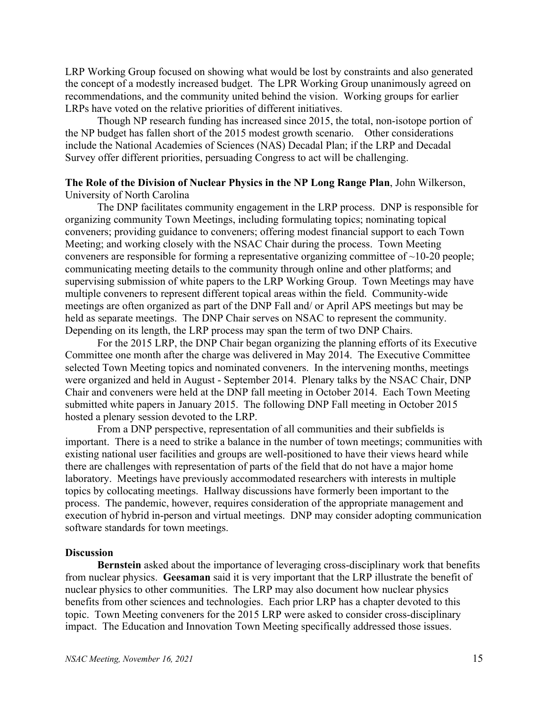LRP Working Group focused on showing what would be lost by constraints and also generated the concept of a modestly increased budget. The LPR Working Group unanimously agreed on recommendations, and the community united behind the vision. Working groups for earlier LRPs have voted on the relative priorities of different initiatives.

Though NP research funding has increased since 2015, the total, non-isotope portion of the NP budget has fallen short of the 2015 modest growth scenario. Other considerations include the National Academies of Sciences (NAS) Decadal Plan; if the LRP and Decadal Survey offer different priorities, persuading Congress to act will be challenging.

## **The Role of the Division of Nuclear Physics in the NP Long Range Plan**, John Wilkerson, University of North Carolina

The DNP facilitates community engagement in the LRP process. DNP is responsible for organizing community Town Meetings, including formulating topics; nominating topical conveners; providing guidance to conveners; offering modest financial support to each Town Meeting; and working closely with the NSAC Chair during the process. Town Meeting conveners are responsible for forming a representative organizing committee of  $\sim$ 10-20 people; communicating meeting details to the community through online and other platforms; and supervising submission of white papers to the LRP Working Group. Town Meetings may have multiple conveners to represent different topical areas within the field. Community-wide meetings are often organized as part of the DNP Fall and/ or April APS meetings but may be held as separate meetings. The DNP Chair serves on NSAC to represent the community. Depending on its length, the LRP process may span the term of two DNP Chairs.

For the 2015 LRP, the DNP Chair began organizing the planning efforts of its Executive Committee one month after the charge was delivered in May 2014. The Executive Committee selected Town Meeting topics and nominated conveners. In the intervening months, meetings were organized and held in August - September 2014. Plenary talks by the NSAC Chair, DNP Chair and conveners were held at the DNP fall meeting in October 2014. Each Town Meeting submitted white papers in January 2015. The following DNP Fall meeting in October 2015 hosted a plenary session devoted to the LRP.

From a DNP perspective, representation of all communities and their subfields is important. There is a need to strike a balance in the number of town meetings; communities with existing national user facilities and groups are well-positioned to have their views heard while there are challenges with representation of parts of the field that do not have a major home laboratory. Meetings have previously accommodated researchers with interests in multiple topics by collocating meetings. Hallway discussions have formerly been important to the process. The pandemic, however, requires consideration of the appropriate management and execution of hybrid in-person and virtual meetings. DNP may consider adopting communication software standards for town meetings.

### **Discussion**

**Bernstein** asked about the importance of leveraging cross-disciplinary work that benefits from nuclear physics. **Geesaman** said it is very important that the LRP illustrate the benefit of nuclear physics to other communities. The LRP may also document how nuclear physics benefits from other sciences and technologies. Each prior LRP has a chapter devoted to this topic. Town Meeting conveners for the 2015 LRP were asked to consider cross-disciplinary impact. The Education and Innovation Town Meeting specifically addressed those issues.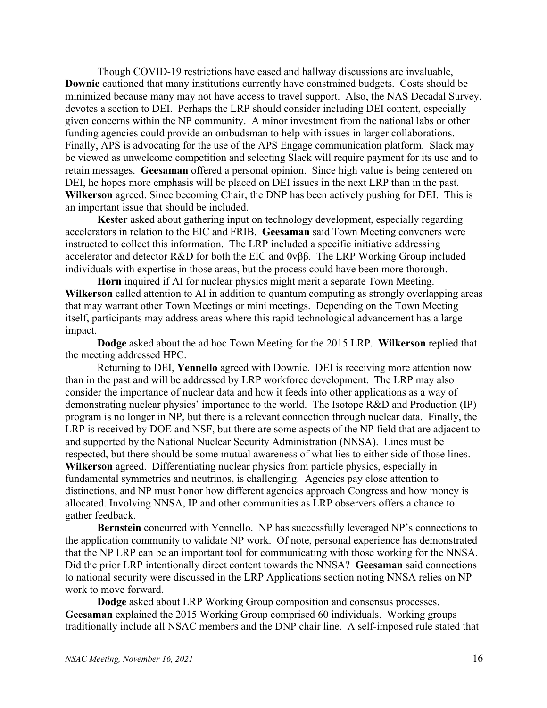Though COVID-19 restrictions have eased and hallway discussions are invaluable, **Downie** cautioned that many institutions currently have constrained budgets. Costs should be minimized because many may not have access to travel support. Also, the NAS Decadal Survey, devotes a section to DEI. Perhaps the LRP should consider including DEI content, especially given concerns within the NP community. A minor investment from the national labs or other funding agencies could provide an ombudsman to help with issues in larger collaborations. Finally, APS is advocating for the use of the APS Engage communication platform. Slack may be viewed as unwelcome competition and selecting Slack will require payment for its use and to retain messages. **Geesaman** offered a personal opinion. Since high value is being centered on DEI, he hopes more emphasis will be placed on DEI issues in the next LRP than in the past. **Wilkerson** agreed. Since becoming Chair, the DNP has been actively pushing for DEI. This is an important issue that should be included.

**Kester** asked about gathering input on technology development, especially regarding accelerators in relation to the EIC and FRIB. **Geesaman** said Town Meeting conveners were instructed to collect this information. The LRP included a specific initiative addressing accelerator and detector R&D for both the EIC and 0vββ. The LRP Working Group included individuals with expertise in those areas, but the process could have been more thorough.

**Horn** inquired if AI for nuclear physics might merit a separate Town Meeting. **Wilkerson** called attention to AI in addition to quantum computing as strongly overlapping areas that may warrant other Town Meetings or mini meetings. Depending on the Town Meeting itself, participants may address areas where this rapid technological advancement has a large impact.

**Dodge** asked about the ad hoc Town Meeting for the 2015 LRP. **Wilkerson** replied that the meeting addressed HPC.

Returning to DEI, **Yennello** agreed with Downie. DEI is receiving more attention now than in the past and will be addressed by LRP workforce development. The LRP may also consider the importance of nuclear data and how it feeds into other applications as a way of demonstrating nuclear physics' importance to the world. The Isotope R&D and Production (IP) program is no longer in NP, but there is a relevant connection through nuclear data. Finally, the LRP is received by DOE and NSF, but there are some aspects of the NP field that are adjacent to and supported by the National Nuclear Security Administration (NNSA). Lines must be respected, but there should be some mutual awareness of what lies to either side of those lines. **Wilkerson** agreed. Differentiating nuclear physics from particle physics, especially in fundamental symmetries and neutrinos, is challenging. Agencies pay close attention to distinctions, and NP must honor how different agencies approach Congress and how money is allocated. Involving NNSA, IP and other communities as LRP observers offers a chance to gather feedback.

**Bernstein** concurred with Yennello. NP has successfully leveraged NP's connections to the application community to validate NP work. Of note, personal experience has demonstrated that the NP LRP can be an important tool for communicating with those working for the NNSA. Did the prior LRP intentionally direct content towards the NNSA? **Geesaman** said connections to national security were discussed in the LRP Applications section noting NNSA relies on NP work to move forward.

**Dodge** asked about LRP Working Group composition and consensus processes. **Geesaman** explained the 2015 Working Group comprised 60 individuals. Working groups traditionally include all NSAC members and the DNP chair line. A self-imposed rule stated that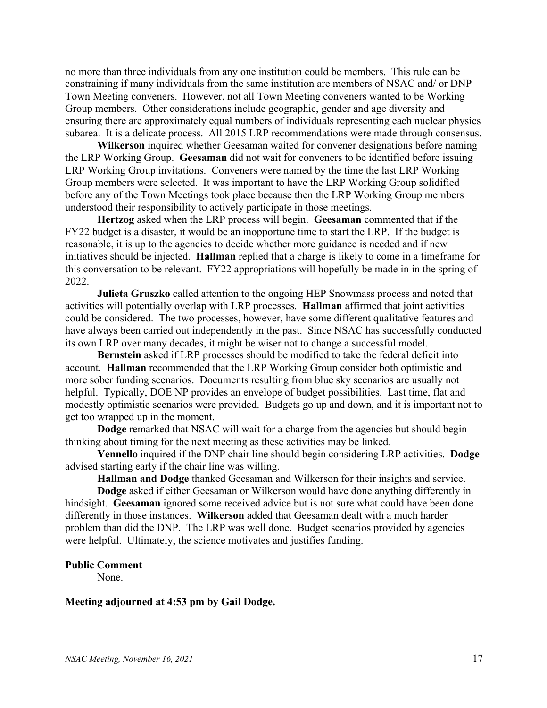no more than three individuals from any one institution could be members. This rule can be constraining if many individuals from the same institution are members of NSAC and/ or DNP Town Meeting conveners. However, not all Town Meeting conveners wanted to be Working Group members. Other considerations include geographic, gender and age diversity and ensuring there are approximately equal numbers of individuals representing each nuclear physics subarea. It is a delicate process. All 2015 LRP recommendations were made through consensus.

**Wilkerson** inquired whether Geesaman waited for convener designations before naming the LRP Working Group. **Geesaman** did not wait for conveners to be identified before issuing LRP Working Group invitations. Conveners were named by the time the last LRP Working Group members were selected. It was important to have the LRP Working Group solidified before any of the Town Meetings took place because then the LRP Working Group members understood their responsibility to actively participate in those meetings.

**Hertzog** asked when the LRP process will begin. **Geesaman** commented that if the FY22 budget is a disaster, it would be an inopportune time to start the LRP. If the budget is reasonable, it is up to the agencies to decide whether more guidance is needed and if new initiatives should be injected. **Hallman** replied that a charge is likely to come in a timeframe for this conversation to be relevant. FY22 appropriations will hopefully be made in in the spring of 2022.

**Julieta Gruszko** called attention to the ongoing HEP Snowmass process and noted that activities will potentially overlap with LRP processes. **Hallman** affirmed that joint activities could be considered. The two processes, however, have some different qualitative features and have always been carried out independently in the past. Since NSAC has successfully conducted its own LRP over many decades, it might be wiser not to change a successful model.

**Bernstein** asked if LRP processes should be modified to take the federal deficit into account. **Hallman** recommended that the LRP Working Group consider both optimistic and more sober funding scenarios. Documents resulting from blue sky scenarios are usually not helpful. Typically, DOE NP provides an envelope of budget possibilities. Last time, flat and modestly optimistic scenarios were provided. Budgets go up and down, and it is important not to get too wrapped up in the moment.

**Dodge** remarked that NSAC will wait for a charge from the agencies but should begin thinking about timing for the next meeting as these activities may be linked.

**Yennello** inquired if the DNP chair line should begin considering LRP activities. **Dodge** advised starting early if the chair line was willing.

**Hallman and Dodge** thanked Geesaman and Wilkerson for their insights and service.

**Dodge** asked if either Geesaman or Wilkerson would have done anything differently in hindsight. **Geesaman** ignored some received advice but is not sure what could have been done differently in those instances. **Wilkerson** added that Geesaman dealt with a much harder problem than did the DNP. The LRP was well done. Budget scenarios provided by agencies were helpful. Ultimately, the science motivates and justifies funding.

#### **Public Comment**

None.

### **Meeting adjourned at 4:53 pm by Gail Dodge.**